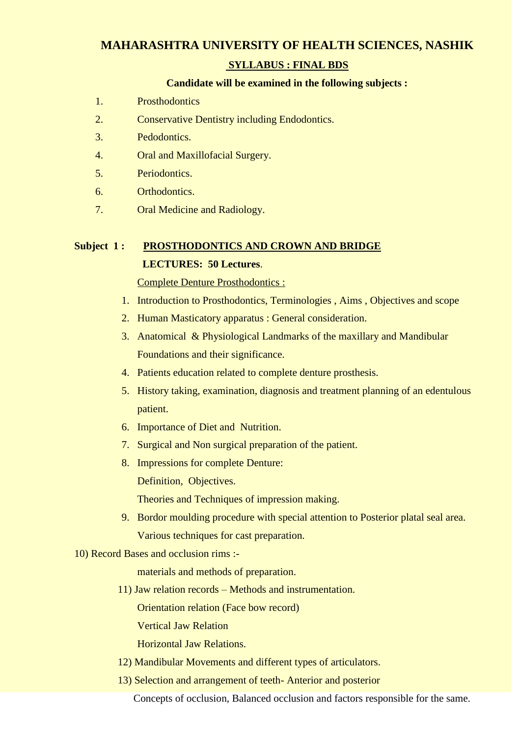## **MAHARASHTRA UNIVERSITY OF HEALTH SCIENCES, NASHIK**

## **SYLLABUS : FINAL BDS**

#### **Candidate will be examined in the following subjects :**

- 1. Prosthodontics
- 2. Conservative Dentistry including Endodontics.
- 3. Pedodontics.
- 4. Oral and Maxillofacial Surgery.
- 5. Periodontics.
- 6. Orthodontics.
- 7. Oral Medicine and Radiology.

# **Subject 1 : PROSTHODONTICS AND CROWN AND BRIDGE LECTURES: 50 Lectures**.

Complete Denture Prosthodontics :

- 1. Introduction to Prosthodontics, Terminologies , Aims , Objectives and scope
- 2. Human Masticatory apparatus : General consideration.
- 3. Anatomical & Physiological Landmarks of the maxillary and Mandibular Foundations and their significance.
- 4. Patients education related to complete denture prosthesis.
- 5. History taking, examination, diagnosis and treatment planning of an edentulous patient.
- 6. Importance of Diet and Nutrition.
- 7. Surgical and Non surgical preparation of the patient.
- 8. Impressions for complete Denture:

Definition, Objectives.

Theories and Techniques of impression making.

- 9. Bordor moulding procedure with special attention to Posterior platal seal area. Various techniques for cast preparation.
- 10) Record Bases and occlusion rims :-

materials and methods of preparation.

11) Jaw relation records – Methods and instrumentation.

Orientation relation (Face bow record)

Vertical Jaw Relation

Horizontal Jaw Relations.

- 12) Mandibular Movements and different types of articulators.
- 13) Selection and arrangement of teeth- Anterior and posterior

Concepts of occlusion, Balanced occlusion and factors responsible for the same.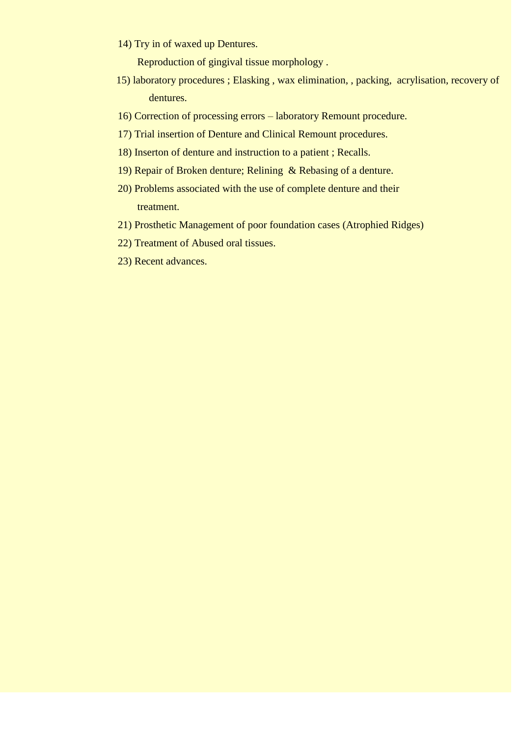14) Try in of waxed up Dentures.

Reproduction of gingival tissue morphology .

- 15) laboratory procedures ; Elasking , wax elimination, , packing, acrylisation, recovery of dentures.
- 16) Correction of processing errors laboratory Remount procedure.
- 17) Trial insertion of Denture and Clinical Remount procedures.
- 18) Inserton of denture and instruction to a patient ; Recalls.
- 19) Repair of Broken denture; Relining & Rebasing of a denture.
- 20) Problems associated with the use of complete denture and their treatment.
- 21) Prosthetic Management of poor foundation cases (Atrophied Ridges)
- 22) Treatment of Abused oral tissues.
- 23) Recent advances.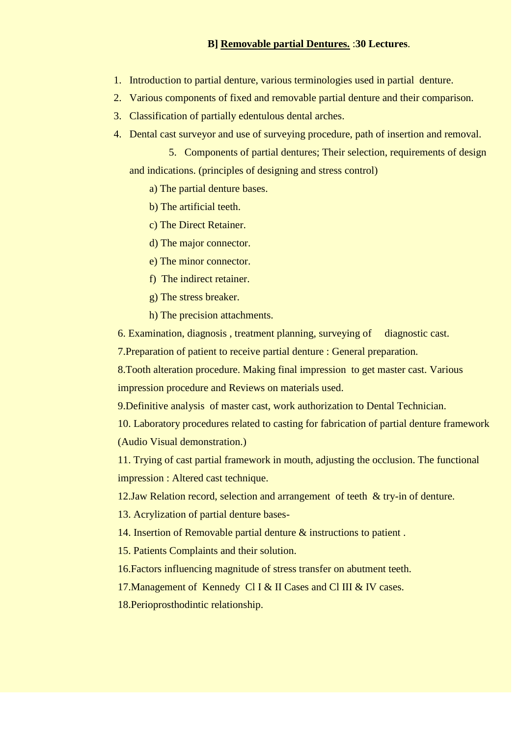## **B] Removable partial Dentures.** :**30 Lectures**.

- 1. Introduction to partial denture, various terminologies used in partial denture.
- 2. Various components of fixed and removable partial denture and their comparison.
- 3. Classification of partially edentulous dental arches.
- 4. Dental cast surveyor and use of surveying procedure, path of insertion and removal.

 5. Components of partial dentures; Their selection, requirements of design and indications. (principles of designing and stress control)

a) The partial denture bases.

b) The artificial teeth.

c) The Direct Retainer.

d) The major connector.

e) The minor connector.

f) The indirect retainer.

g) The stress breaker.

h) The precision attachments.

6. Examination, diagnosis , treatment planning, surveying of diagnostic cast.

7.Preparation of patient to receive partial denture : General preparation.

8.Tooth alteration procedure. Making final impression to get master cast. Various impression procedure and Reviews on materials used.

9.Definitive analysis of master cast, work authorization to Dental Technician.

10. Laboratory procedures related to casting for fabrication of partial denture framework (Audio Visual demonstration.)

11. Trying of cast partial framework in mouth, adjusting the occlusion. The functional impression : Altered cast technique.

12.Jaw Relation record, selection and arrangement of teeth & try-in of denture.

13. Acrylization of partial denture bases-

14. Insertion of Removable partial denture & instructions to patient .

15. Patients Complaints and their solution.

16.Factors influencing magnitude of stress transfer on abutment teeth.

17. Management of Kennedy Cl I & II Cases and Cl III & IV cases.

18.Perioprosthodintic relationship.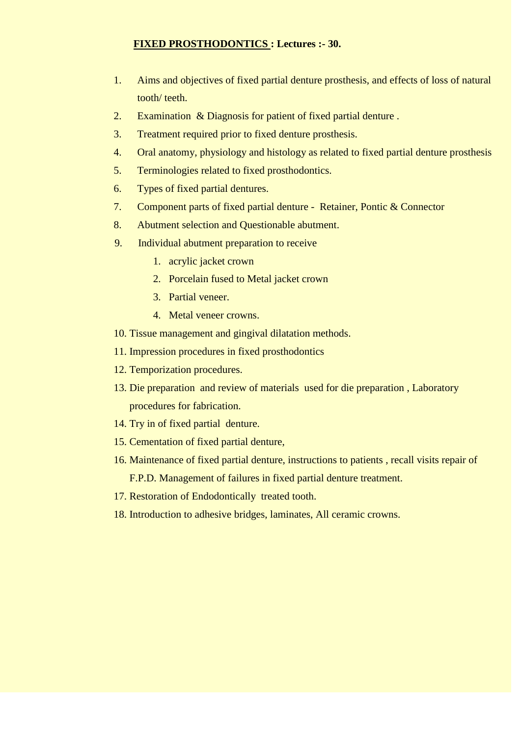## **FIXED PROSTHODONTICS : Lectures :- 30.**

- 1. Aims and objectives of fixed partial denture prosthesis, and effects of loss of natural tooth/ teeth.
- 2. Examination & Diagnosis for patient of fixed partial denture .
- 3. Treatment required prior to fixed denture prosthesis.
- 4. Oral anatomy, physiology and histology as related to fixed partial denture prosthesis
- 5. Terminologies related to fixed prosthodontics.
- 6. Types of fixed partial dentures.
- 7. Component parts of fixed partial denture Retainer, Pontic & Connector
- 8. Abutment selection and Questionable abutment.
- 9. Individual abutment preparation to receive
	- 1. acrylic jacket crown
	- 2. Porcelain fused to Metal jacket crown
	- 3. Partial veneer.
	- 4. Metal veneer crowns.
- 10. Tissue management and gingival dilatation methods.
- 11. Impression procedures in fixed prosthodontics
- 12. Temporization procedures.
- 13. Die preparation and review of materials used for die preparation , Laboratory procedures for fabrication.
- 14. Try in of fixed partial denture.
- 15. Cementation of fixed partial denture,
- 16. Maintenance of fixed partial denture, instructions to patients , recall visits repair of F.P.D. Management of failures in fixed partial denture treatment.
- 17. Restoration of Endodontically treated tooth.
- 18. Introduction to adhesive bridges, laminates, All ceramic crowns.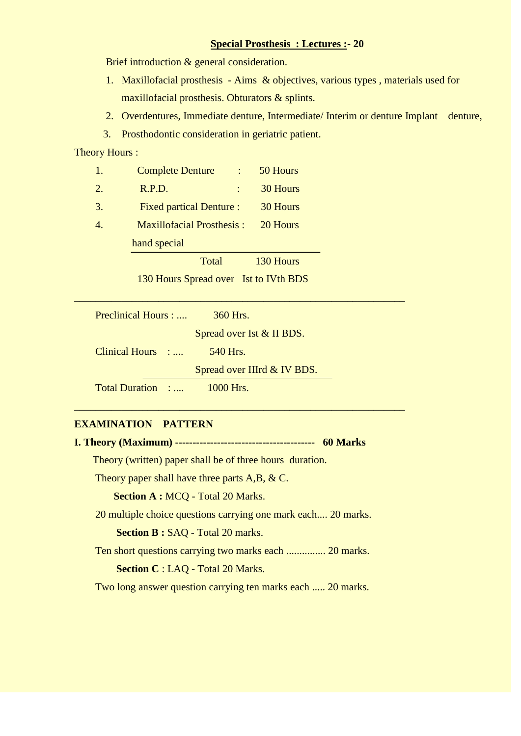## **Special Prosthesis : Lectures :- 20**

Brief introduction & general consideration.

- 1. Maxillofacial prosthesis Aims & objectives, various types , materials used for maxillofacial prosthesis. Obturators & splints.
- 2. Overdentures, Immediate denture, Intermediate/ Interim or denture Implant denture,
- 3. Prosthodontic consideration in geriatric patient.

## Theory Hours :

- 1. Complete Denture : 50 Hours 2. R.P.D. : 30 Hours
- 3. Fixed partical Denture : 30 Hours
- 4. Maxillofacial Prosthesis : 20 Hours hand special

Total 130 Hours

130 Hours Spread over Ist to IVth BDS

\_\_\_\_\_\_\_\_\_\_\_\_\_\_\_\_\_\_\_\_\_\_\_\_\_\_\_\_\_\_\_\_\_\_\_\_\_\_\_\_\_\_\_\_\_\_\_\_\_\_\_\_\_\_\_\_\_\_\_\_\_\_\_

\_\_\_\_\_\_\_\_\_\_\_\_\_\_\_\_\_\_\_\_\_\_\_\_\_\_\_\_\_\_\_\_\_\_\_\_\_\_\_\_\_\_\_\_\_\_\_\_\_\_\_\_\_\_\_\_\_\_\_\_\_\_\_

| Preclinical Hours : | 360 Hrs.                    |
|---------------------|-----------------------------|
|                     | Spread over Ist & II BDS.   |
| Clinical Hours :    | 540 Hrs.                    |
|                     | Spread over IIIrd & IV BDS. |
| Total Duration :    | $1000$ Hrs.                 |

## **EXAMINATION PATTERN**

**I. Theory (Maximum) ---------------------------------------- 60 Marks**

Theory (written) paper shall be of three hours duration.

Theory paper shall have three parts A,B, & C.

 **Section A :** MCQ - Total 20 Marks.

20 multiple choice questions carrying one mark each.... 20 marks.

**Section B : SAQ - Total 20 marks.** 

Ten short questions carrying two marks each ............... 20 marks.

 **Section C** : LAQ - Total 20 Marks.

Two long answer question carrying ten marks each ..... 20 marks.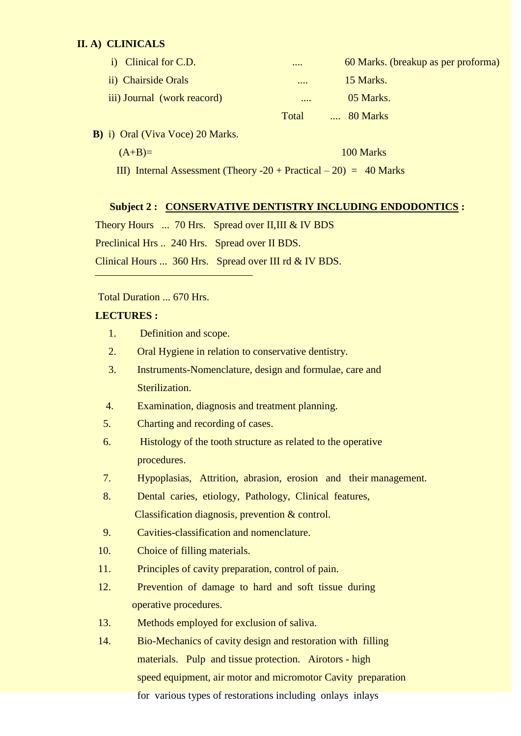## **II. A) CLINICALS**

| i) Clinical for C.D.        |       | 60 Marks. (breakup as per proforma) |
|-----------------------------|-------|-------------------------------------|
| ii) Chairside Orals         |       | 15 Marks.                           |
| iii) Journal (work reacord) |       | 05 Marks.                           |
|                             | Total | 80 Marks                            |

**B)** i) Oral (Viva Voce) 20 Marks.

 $(A+B)=$  100 Marks

III) Internal Assessment (Theory  $-20 + \text{Practical} - 20$ ) = 40 Marks

## **Subject 2 : CONSERVATIVE DENTISTRY INCLUDING ENDODONTICS :**

Theory Hours ... 70 Hrs. Spread over II, III & IV BDS

Preclinical Hrs .. 240 Hrs. Spread over II BDS.

Clinical Hours ... 360 Hrs. Spread over III rd & IV BDS.

#### Total Duration ... 670 Hrs.

#### **LECTURES :**

- 1. Definition and scope.
- 2. Oral Hygiene in relation to conservative dentistry.
- 3. Instruments-Nomenclature, design and formulae, care and Sterilization.
- 4. Examination, diagnosis and treatment planning.
- 5. Charting and recording of cases.
- 6. Histology of the tooth structure as related to the operative procedures.
- 7. Hypoplasias, Attrition, abrasion, erosion and their management.
- 8. Dental caries, etiology, Pathology, Clinical features, Classification diagnosis, prevention & control.
- 9. Cavities-classification and nomenclature.
- 10. Choice of filling materials.
- 11. Principles of cavity preparation, control of pain.
- 12. Prevention of damage to hard and soft tissue during operative procedures.
- 13. Methods employed for exclusion of saliva.
- 14. Bio-Mechanics of cavity design and restoration with filling materials. Pulp and tissue protection. Airotors - high speed equipment, air motor and micromotor Cavity preparation for various types of restorations including onlays inlays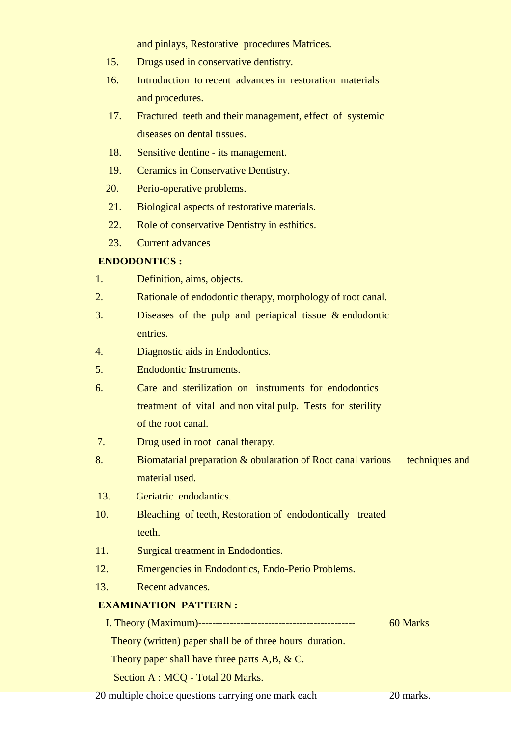and pinlays, Restorative procedures Matrices.

- 15. Drugs used in conservative dentistry.
- 16. Introduction to recent advances in restoration materials and procedures.
- 17. Fractured teeth and their management, effect of systemic diseases on dental tissues.
- 18. Sensitive dentine its management.
- 19. Ceramics in Conservative Dentistry.
- 20. Perio-operative problems.
- 21. Biological aspects of restorative materials.
- 22. Role of conservative Dentistry in esthitics.
- 23. Current advances

#### **ENDODONTICS :**

- 1. Definition, aims, objects.
- 2. Rationale of endodontic therapy, morphology of root canal.
- 3. Diseases of the pulp and periapical tissue & endodontic entries.
- 4. Diagnostic aids in Endodontics.
- 5. Endodontic Instruments.
- 6. Care and sterilization on instruments for endodontics treatment of vital and non vital pulp. Tests for sterility of the root canal.
- 7. Drug used in root canal therapy.
- 8. Biomatarial preparation & obularation of Root canal various techniques and material used.
- 13. Geriatric endodantics.
- 10. Bleaching of teeth, Restoration of endodontically treated teeth.
- 11. Surgical treatment in Endodontics.
- 12. Emergencies in Endodontics, Endo-Perio Problems.
- 13. Recent advances.

## **EXAMINATION PATTERN :**

I. Theory (Maximum)--------------------------------------------- 60 Marks Theory (written) paper shall be of three hours duration. Theory paper shall have three parts A,B, & C.

Section A : MCQ - Total 20 Marks.

20 multiple choice questions carrying one mark each 20 marks.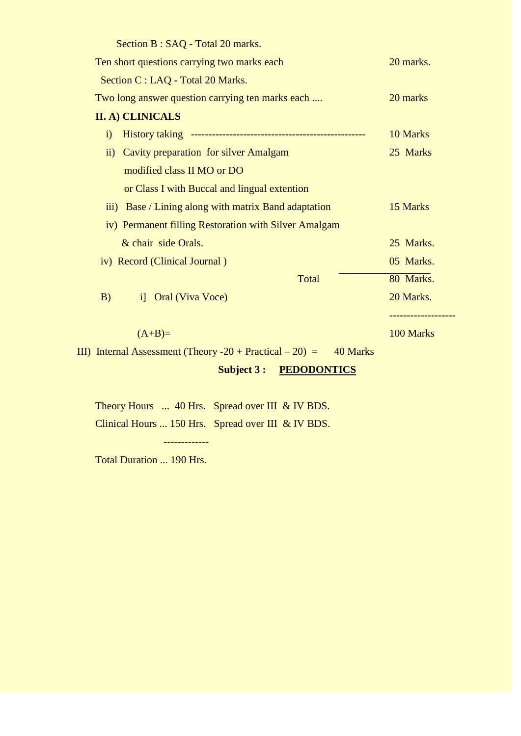| Section B: SAQ - Total 20 marks.                                         |           |
|--------------------------------------------------------------------------|-----------|
| Ten short questions carrying two marks each                              | 20 marks. |
| Section C : LAQ - Total 20 Marks.                                        |           |
| Two long answer question carrying ten marks each                         | 20 marks  |
| <b>II. A) CLINICALS</b>                                                  |           |
| $\mathbf{i}$                                                             | 10 Marks  |
| ii) Cavity preparation for silver Amalgam                                | 25 Marks  |
| modified class II MO or DO                                               |           |
| or Class I with Buccal and lingual extention                             |           |
| iii) Base / Lining along with matrix Band adaptation                     | 15 Marks  |
| iv) Permanent filling Restoration with Silver Amalgam                    |           |
| & chair side Orals.                                                      | 25 Marks. |
| iv) Record (Clinical Journal)                                            | 05 Marks. |
| Total                                                                    | 80 Marks. |
| B)<br>i] Oral (Viva Voce)                                                | 20 Marks. |
|                                                                          |           |
| $(A+B)=$                                                                 | 100 Marks |
| III) Internal Assessment (Theory $-20$ + Practical $-20$ ) =<br>40 Marks |           |
| <b>Subject 3:</b><br><b>PEDODONTICS</b>                                  |           |

 Theory Hours ... 40 Hrs. Spread over III & IV BDS. Clinical Hours ... 150 Hrs. Spread over III & IV BDS.

-------------

Total Duration ... 190 Hrs.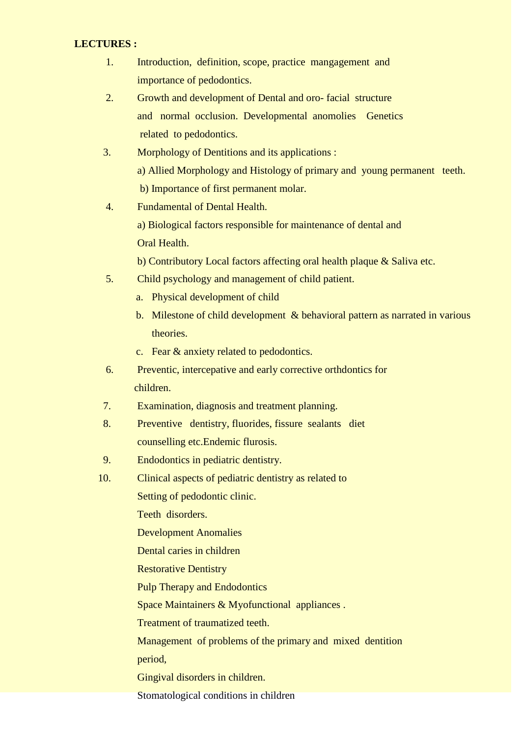## **LECTURES :**

- 1. Introduction, definition, scope, practice mangagement and importance of pedodontics.
- 2. Growth and development of Dental and oro- facial structure and normal occlusion. Developmental anomolies Genetics related to pedodontics.
- 3. Morphology of Dentitions and its applications : a) Allied Morphology and Histology of primary and young permanent teeth. b) Importance of first permanent molar.
- 4. Fundamental of Dental Health. a) Biological factors responsible for maintenance of dental and Oral Health.

b) Contributory Local factors affecting oral health plaque & Saliva etc.

- 5. Child psychology and management of child patient.
	- a. Physical development of child
	- b. Milestone of child development & behavioral pattern as narrated in various theories.
	- c. Fear & anxiety related to pedodontics.
- 6. Preventic, intercepative and early corrective orthdontics for children.
- 7. Examination, diagnosis and treatment planning.
- 8. Preventive dentistry, fluorides, fissure sealants diet counselling etc.Endemic flurosis.
- 9. Endodontics in pediatric dentistry.
- 10. Clinical aspects of pediatric dentistry as related to

Setting of pedodontic clinic.

Teeth disorders.

Development Anomalies

Dental caries in children

Restorative Dentistry

Pulp Therapy and Endodontics

Space Maintainers & Myofunctional appliances .

Treatment of traumatized teeth.

Management of problems of the primary and mixed dentition

period,

Gingival disorders in children.

Stomatological conditions in children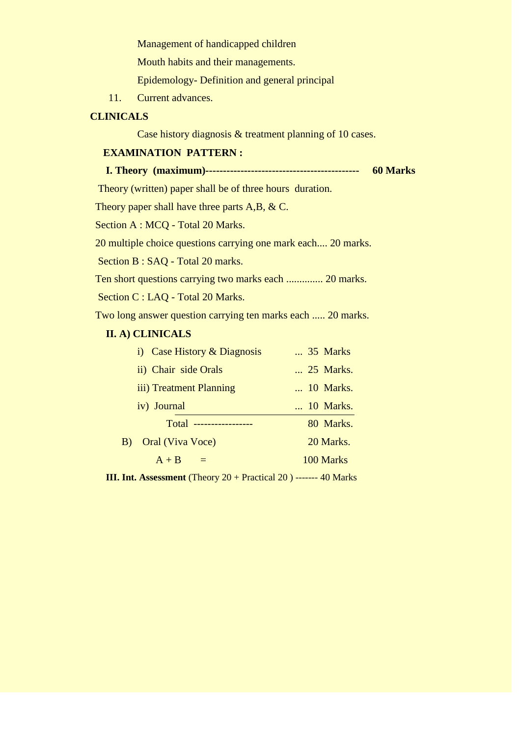Management of handicapped children

Mouth habits and their managements.

Epidemology- Definition and general principal

11. Current advances.

## **CLINICALS**

Case history diagnosis & treatment planning of 10 cases.

## **EXAMINATION PATTERN :**

## **I. Theory (maximum)-------------------------------------------- 60 Marks**

Theory (written) paper shall be of three hours duration.

Theory paper shall have three parts A,B, & C.

Section A : MCQ - Total 20 Marks.

20 multiple choice questions carrying one mark each.... 20 marks.

Section B : SAQ - Total 20 marks.

Ten short questions carrying two marks each .............. 20 marks.

Section C : LAQ - Total 20 Marks.

Two long answer question carrying ten marks each ..... 20 marks.

## **II. A) CLINICALS**

| i) Case History & Diagnosis | 35 Marks  |
|-----------------------------|-----------|
| ii) Chair side Orals        | 25 Marks. |
| iii) Treatment Planning     | 10 Marks. |
| iv) Journal                 | 10 Marks. |
| Total -------               | 80 Marks. |
| Oral (Viva Voce)<br>B)      | 20 Marks. |
| $A + B$<br>$=$              | 100 Marks |
|                             |           |

**III. Int. Assessment** (Theory 20 + Practical 20 ) ------- 40 Marks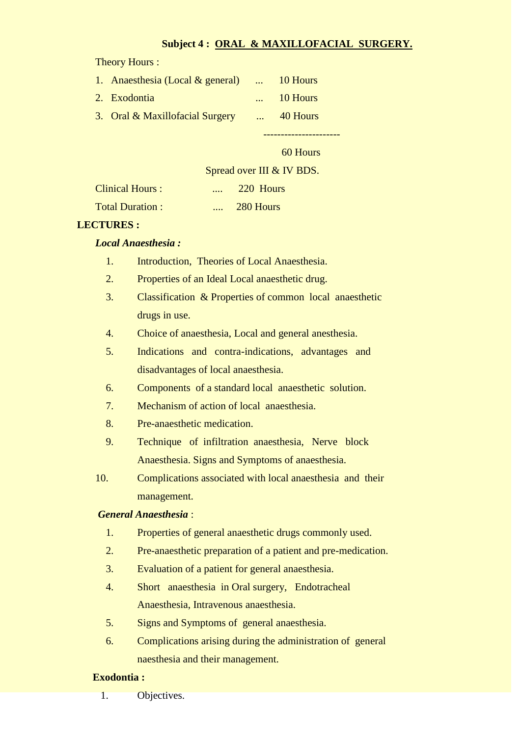## **Subject 4 : ORAL & MAXILLOFACIAL SURGERY.**

Theory Hours :

| 1. Anaesthesia (Local & general) | $\ldots$ 10 Hours |
|----------------------------------|-------------------|
| 2. Exodontia                     | 10 Hours          |
| 3. Oral & Maxillofacial Surgery  | 40 Hours          |
|                                  |                   |

60 Hours

## Spread over III & IV BDS.

| <b>Clinical Hours:</b> | <br>220 Hours |
|------------------------|---------------|
| <b>Total Duration:</b> | <br>280 Hours |

## **LECTURES :**

## *Local Anaesthesia :*

- 1. Introduction, Theories of Local Anaesthesia.
- 2. Properties of an Ideal Local anaesthetic drug.
- 3. Classification & Properties of common local anaesthetic drugs in use.
- 4. Choice of anaesthesia, Local and general anesthesia.
- 5. Indications and contra-indications, advantages and disadvantages of local anaesthesia.
- 6. Components of a standard local anaesthetic solution.
- 7. Mechanism of action of local anaesthesia.
- 8. Pre-anaesthetic medication.
- 9. Technique of infiltration anaesthesia, Nerve block Anaesthesia. Signs and Symptoms of anaesthesia.
- 10. Complications associated with local anaesthesia and their management.

## *General Anaesthesia* :

- 1. Properties of general anaesthetic drugs commonly used.
- 2. Pre-anaesthetic preparation of a patient and pre-medication.
- 3. Evaluation of a patient for general anaesthesia.
- 4. Short anaesthesia in Oral surgery, Endotracheal Anaesthesia, Intravenous anaesthesia.
- 5. Signs and Symptoms of general anaesthesia.
- 6. Complications arising during the administration of general naesthesia and their management.

## **Exodontia :**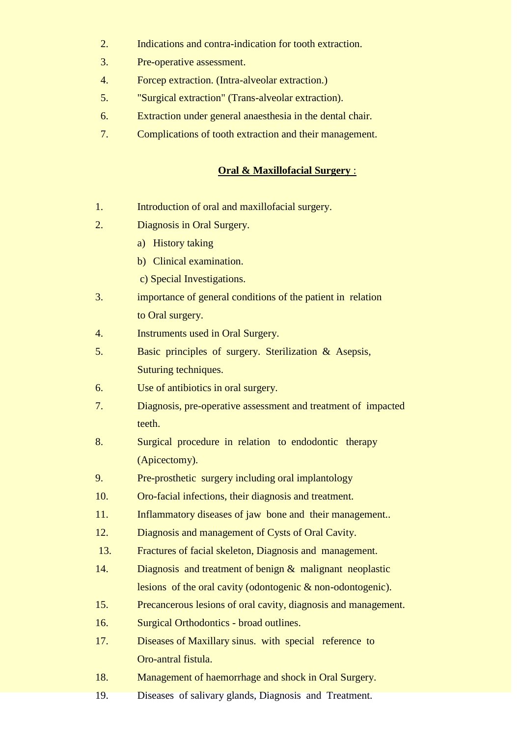- 2. Indications and contra-indication for tooth extraction.
- 3. Pre-operative assessment.
- 4. Forcep extraction. (Intra-alveolar extraction.)
- 5. "Surgical extraction" (Trans-alveolar extraction).
- 6. Extraction under general anaesthesia in the dental chair.
- 7. Complications of tooth extraction and their management.

## **Oral & Maxillofacial Surgery** :

- 1. Introduction of oral and maxillofacial surgery.
- 2. Diagnosis in Oral Surgery.
	- a) History taking
	- b) Clinical examination.
	- c) Special Investigations.
- 3. importance of general conditions of the patient in relation to Oral surgery.
- 4. Instruments used in Oral Surgery.
- 5. Basic principles of surgery. Sterilization & Asepsis, Suturing techniques.
- 6. Use of antibiotics in oral surgery.
- 7. Diagnosis, pre-operative assessment and treatment of impacted teeth.
- 8. Surgical procedure in relation to endodontic therapy (Apicectomy).
- 9. Pre-prosthetic surgery including oral implantology
- 10. Oro-facial infections, their diagnosis and treatment.
- 11. Inflammatory diseases of jaw bone and their management..
- 12. Diagnosis and management of Cysts of Oral Cavity.
- 13. Fractures of facial skeleton, Diagnosis and management.
- 14. Diagnosis and treatment of benign & malignant neoplastic lesions of the oral cavity (odontogenic & non-odontogenic).
- 15. Precancerous lesions of oral cavity, diagnosis and management.
- 16. Surgical Orthodontics broad outlines.
- 17. Diseases of Maxillary sinus. with special reference to Oro-antral fistula.
- 18. Management of haemorrhage and shock in Oral Surgery.
- 19. Diseases of salivary glands, Diagnosis and Treatment.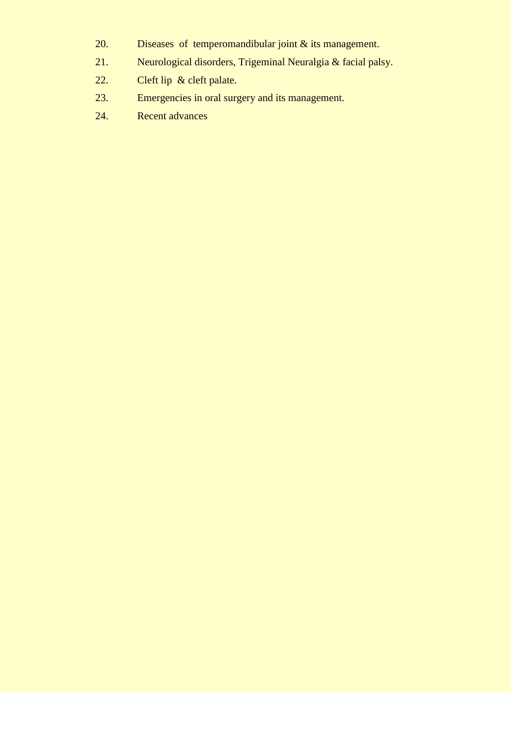- 20. Diseases of temperomandibular joint & its management.
- 21. Neurological disorders, Trigeminal Neuralgia & facial palsy.
- 22. Cleft lip & cleft palate.
- 23. Emergencies in oral surgery and its management.
- 24. Recent advances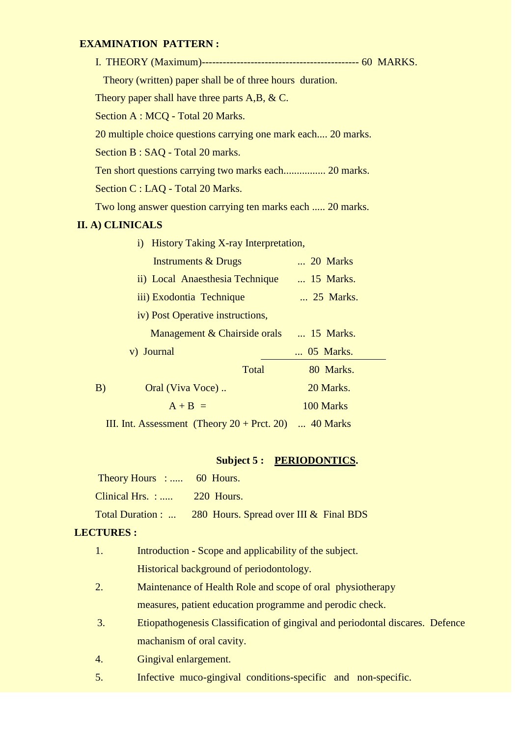## **EXAMINATION PATTERN :**

| Theory (written) paper shall be of three hours duration.      |  |
|---------------------------------------------------------------|--|
| Theory paper shall have three parts $A, B, \& C$ .            |  |
| Section A : MCQ - Total 20 Marks.                             |  |
| 20 multiple choice questions carrying one mark each 20 marks. |  |
| Section B : SAQ - Total 20 marks.                             |  |
|                                                               |  |
| Section C : LAQ - Total 20 Marks.                             |  |
| Two long answer question carrying ten marks each  20 marks.   |  |
| <b>II. A) CLINICALS</b>                                       |  |
| History Taking X-ray Interpretation,<br>$\ddot{1}$            |  |
| $\ldots$ 20 Marks<br><b>Instruments &amp; Drugs</b>           |  |
| ii) Local Anaesthesia Technique  15 Marks.                    |  |
| iii) Exodontia Technique<br>25 Marks.                         |  |
| iv) Post Operative instructions,                              |  |
| Management & Chairside orals  15 Marks.                       |  |
| v) Journal<br>05 Marks.                                       |  |
| Total<br>80 Marks.                                            |  |
| Oral (Viva Voce)<br>20 Marks.<br>B)                           |  |
| 100 Marks<br>$A + B =$                                        |  |

III. Int. Assessment (Theory  $20 +$  Prct. 20) ... 40 Marks

# Subject 5 : PERIODONTICS.

| Theory Hours :  60 Hours.    |                                                          |
|------------------------------|----------------------------------------------------------|
| Clinical Hrs. : $220$ Hours. |                                                          |
|                              | Total Duration :  280 Hours. Spread over III & Final BDS |

## **LECTURES :**

| 1. | Introduction - Scope and applicability of the subject.                        |
|----|-------------------------------------------------------------------------------|
|    | Historical background of periodontology.                                      |
| 2. | Maintenance of Health Role and scope of oral physiotherapy                    |
|    | measures, patient education programme and perodic check.                      |
| 3. | Etiopathogenesis Classification of gingival and periodontal discares. Defence |
|    | machanism of oral cavity.                                                     |
| 4. | Gingival enlargement.                                                         |
| 5. | Infective muco-gingival conditions-specific and non-specific.                 |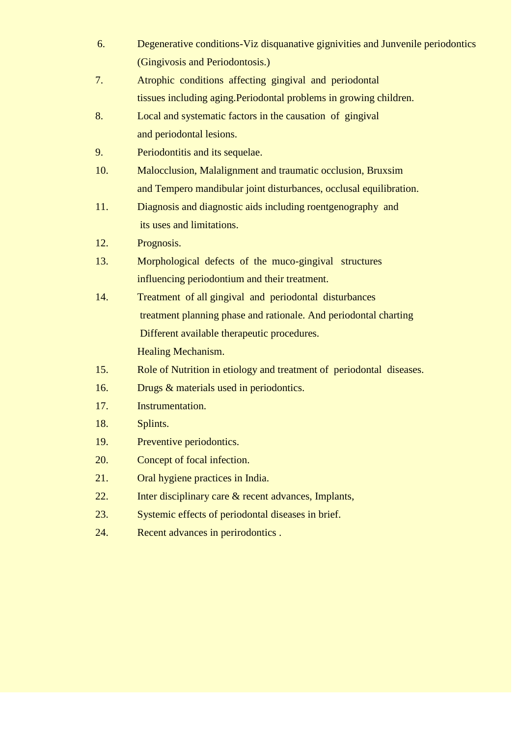- 6. Degenerative conditions-Viz disquanative gignivities and Junvenile periodontics (Gingivosis and Periodontosis.)
- 7. Atrophic conditions affecting gingival and periodontal tissues including aging.Periodontal problems in growing children.
- 8. Local and systematic factors in the causation of gingival and periodontal lesions.
- 9. Periodontitis and its sequelae.
- 10. Malocclusion, Malalignment and traumatic occlusion, Bruxsim and Tempero mandibular joint disturbances, occlusal equilibration.
- 11. Diagnosis and diagnostic aids including roentgenography and its uses and limitations.
- 12. Prognosis.
- 13. Morphological defects of the muco-gingival structures influencing periodontium and their treatment.
- 14. Treatment of all gingival and periodontal disturbances treatment planning phase and rationale. And periodontal charting Different available therapeutic procedures. Healing Mechanism.
- 15. Role of Nutrition in etiology and treatment of periodontal diseases.
- 16. Drugs & materials used in periodontics.
- 17. Instrumentation.
- 18. Splints.
- 19. Preventive periodontics.
- 20. Concept of focal infection.
- 21. Oral hygiene practices in India.
- 22. Inter disciplinary care & recent advances, Implants,
- 23. Systemic effects of periodontal diseases in brief.
- 24. Recent advances in perirodontics .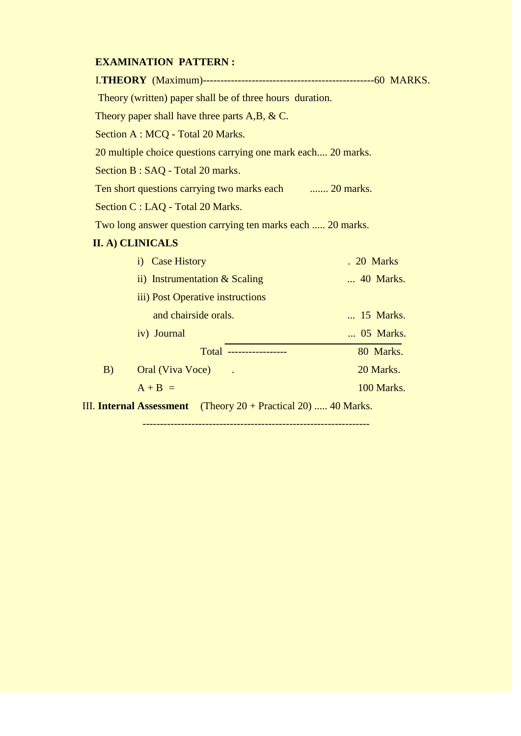## **EXAMINATION PATTERN :**

| Theory (written) paper shall be of three hours duration.      |            |
|---------------------------------------------------------------|------------|
| Theory paper shall have three parts $A, B, \& C$ .            |            |
| Section A : MCQ - Total 20 Marks.                             |            |
| 20 multiple choice questions carrying one mark each 20 marks. |            |
| Section B : SAQ - Total 20 marks.                             |            |
| Ten short questions carrying two marks each  20 marks.        |            |
| Section C : LAQ - Total 20 Marks.                             |            |
| Two long answer question carrying ten marks each  20 marks.   |            |
| II. A) CLINICALS                                              |            |
| i) Case History                                               | . 20 Marks |
| ii) Instrumentation $&$ Scaling                               | 40 Marks.  |
| iii) Post Operative instructions                              |            |
| and chairside orals.                                          | 15 Marks.  |
| iv) Journal                                                   | 05 Marks.  |

iv) Journal ... 05 Marks. Total ----------------- 80 Marks. B) Oral (Viva Voce) . 20 Marks.

 $A + B =$  100 Marks.

-----------------------------------------------------------------

III. **Internal Assessment** (Theory 20 + Practical 20) ..... 40 Marks.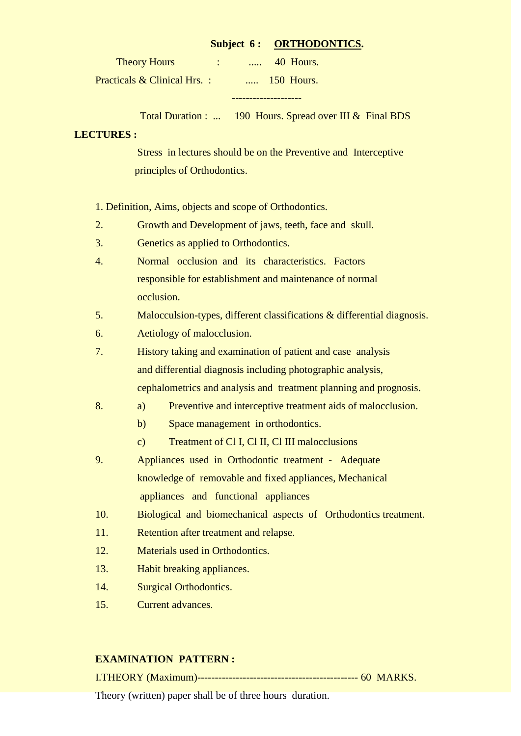## Subject 6: ORTHODONTICS.

| <b>Theory Hours</b>         | $\cdots$ | 40 Hours.  |
|-----------------------------|----------|------------|
| Practicals & Clinical Hrs.: |          | 150 Hours. |

--------------------

Total Duration : ... 190 Hours. Spread over III & Final BDS

## **LECTURES :**

 Stress in lectures should be on the Preventive and Interceptive principles of Orthodontics.

1. Definition, Aims, objects and scope of Orthodontics.

- 2. Growth and Development of jaws, teeth, face and skull.
- 3. Genetics as applied to Orthodontics.
- 4. Normal occlusion and its characteristics. Factors responsible for establishment and maintenance of normal occlusion.
- 5. Malocculsion-types, different classifications & differential diagnosis.
- 6. Aetiology of malocclusion.
- 7. History taking and examination of patient and case analysis and differential diagnosis including photographic analysis, cephalometrics and analysis and treatment planning and prognosis.
- 8. a) Preventive and interceptive treatment aids of malocclusion.
	- b) Space management in orthodontics.
	- c) Treatment of Cl I, Cl II, Cl III malocclusions
- 9. Appliances used in Orthodontic treatment Adequate knowledge of removable and fixed appliances, Mechanical appliances and functional appliances
- 10. Biological and biomechanical aspects of Orthodontics treatment.
- 11. Retention after treatment and relapse.
- 12. Materials used in Orthodontics.
- 13. Habit breaking appliances.
- 14. Surgical Orthodontics.
- 15. Current advances.

## **EXAMINATION PATTERN :**

I.THEORY (Maximum)---------------------------------------------- 60 MARKS.

Theory (written) paper shall be of three hours duration.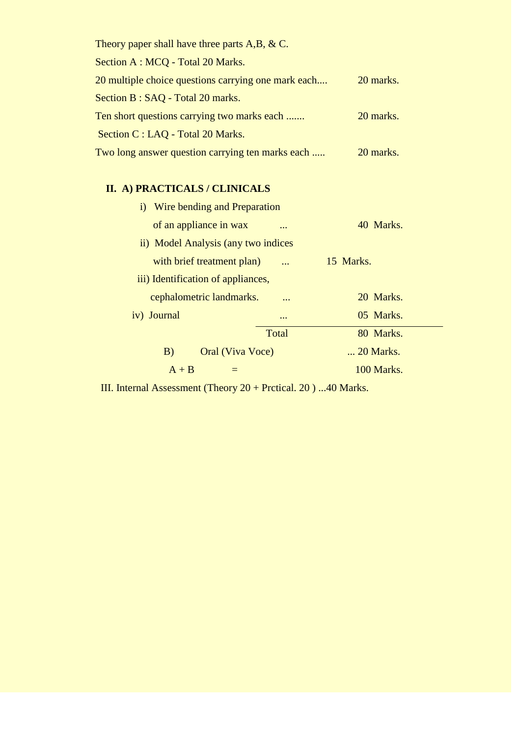| Theory paper shall have three parts $A,B, \& C$ .   |           |
|-----------------------------------------------------|-----------|
| Section A : MCQ - Total 20 Marks.                   |           |
| 20 multiple choice questions carrying one mark each | 20 marks. |
| Section B : SAQ - Total 20 marks.                   |           |
| Ten short questions carrying two marks each         | 20 marks. |
| Section C : LAQ - Total 20 Marks.                   |           |
| Two long answer question carrying ten marks each    | 20 marks. |

# **II. A) PRACTICALS / CLINICALS**

| i) Wire bending and Preparation     |                         |            |
|-------------------------------------|-------------------------|------------|
| of an appliance in wax              | $\ddotsc$               | 40 Marks.  |
| ii) Model Analysis (any two indices |                         |            |
| with brief treatment plan)          |                         | 15 Marks.  |
| iii) Identification of appliances,  |                         |            |
| cephalometric landmarks.            | $\bullet\bullet\bullet$ | 20 Marks.  |
| iv) Journal                         | $\ddotsc$               | 05 Marks.  |
|                                     | Total                   | 80 Marks.  |
| B)<br>Oral (Viva Voce)              |                         | 20 Marks.  |
| $A + B$                             |                         | 100 Marks. |

III. Internal Assessment (Theory 20 + Prctical. 20 ) ...40 Marks.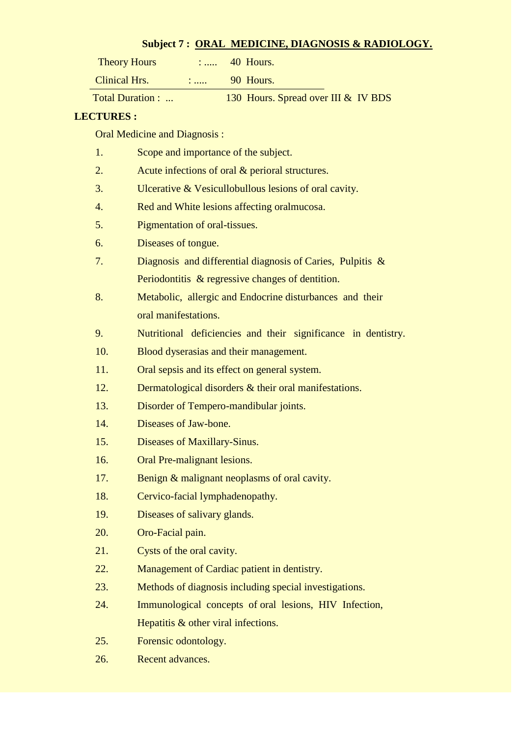## **Subject 7 : ORAL MEDICINE, DIAGNOSIS & RADIOLOGY.**

| <b>Theory Hours</b> |           | 40 Hours. |
|---------------------|-----------|-----------|
| Clinical Hrs.       | $\ddotsc$ | 90 Hours. |

Total Duration : ... 130 Hours. Spread over III & IV BDS

## **LECTURES :**

Oral Medicine and Diagnosis :

| 1.  | Scope and importance of the subject.                          |
|-----|---------------------------------------------------------------|
| 2.  | Acute infections of oral & perioral structures.               |
| 3.  | Ulcerative & Vesicullobullous lesions of oral cavity.         |
| 4.  | Red and White lesions affecting oralmucosa.                   |
| 5.  | Pigmentation of oral-tissues.                                 |
| 6.  | Diseases of tongue.                                           |
| 7.  | Diagnosis and differential diagnosis of Caries, Pulpitis &    |
|     | Periodontitis & regressive changes of dentition.              |
| 8.  | Metabolic, allergic and Endocrine disturbances and their      |
|     | oral manifestations.                                          |
| 9.  | Nutritional deficiencies and their significance in dentistry. |
| 10. | Blood dyserasias and their management.                        |
| 11. | Oral sepsis and its effect on general system.                 |
| 12. | Dermatological disorders & their oral manifestations.         |
| 13. | Disorder of Tempero-mandibular joints.                        |
| 14. | Diseases of Jaw-bone.                                         |
| 15. | Diseases of Maxillary-Sinus.                                  |
| 16. | Oral Pre-malignant lesions.                                   |
| 17. | Benign & malignant neoplasms of oral cavity.                  |
| 18. | Cervico-facial lymphadenopathy.                               |
| 19. | Diseases of salivary glands.                                  |
| 20. | Oro-Facial pain.                                              |
| 21. | Cysts of the oral cavity.                                     |
| 22. | Management of Cardiac patient in dentistry.                   |
| 23. | Methods of diagnosis including special investigations.        |
| 24. | Immunological concepts of oral lesions, HIV Infection,        |
|     | Hepatitis & other viral infections.                           |
| 25. | Forensic odontology.                                          |
|     |                                                               |

26. Recent advances.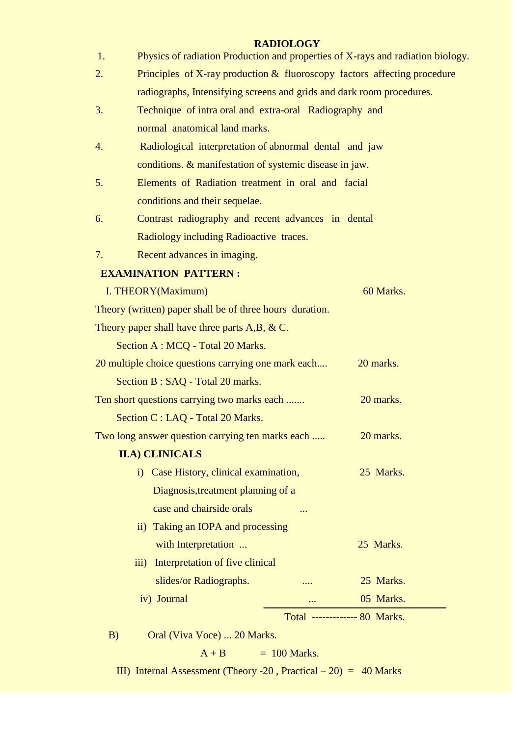# **RADIOLOGY**

| 1. | Physics of radiation Production and properties of X-rays and radiation biology. |                              |
|----|---------------------------------------------------------------------------------|------------------------------|
| 2. | Principles of X-ray production & fluoroscopy factors affecting procedure        |                              |
|    | radiographs, Intensifying screens and grids and dark room procedures.           |                              |
| 3. | Technique of intra oral and extra-oral Radiography and                          |                              |
|    | normal anatomical land marks.                                                   |                              |
| 4. | Radiological interpretation of abnormal dental and jaw                          |                              |
|    | conditions. & manifestation of systemic disease in jaw.                         |                              |
| 5. | Elements of Radiation treatment in oral and facial                              |                              |
|    | conditions and their sequelae.                                                  |                              |
| 6. | Contrast radiography and recent advances in dental                              |                              |
|    | Radiology including Radioactive traces.                                         |                              |
| 7. | Recent advances in imaging.                                                     |                              |
|    | <b>EXAMINATION PATTERN:</b>                                                     |                              |
|    | I. THEORY(Maximum)                                                              | 60 Marks.                    |
|    | Theory (written) paper shall be of three hours duration.                        |                              |
|    | Theory paper shall have three parts $A,B, \& C$ .                               |                              |
|    | Section A : MCQ - Total 20 Marks.                                               |                              |
|    | 20 multiple choice questions carrying one mark each                             | 20 marks.                    |
|    | Section B : SAQ - Total 20 marks.                                               |                              |
|    | Ten short questions carrying two marks each                                     | 20 marks.                    |
|    | Section C : LAQ - Total 20 Marks.                                               |                              |
|    | Two long answer question carrying ten marks each                                | 20 marks.                    |
|    | <b>II.A) CLINICALS</b>                                                          |                              |
|    | i) Case History, clinical examination,                                          | 25 Marks.                    |
|    | Diagnosis, treatment planning of a                                              |                              |
|    | case and chairside orals<br>                                                    |                              |
|    | ii) Taking an IOPA and processing                                               |                              |
|    | with Interpretation                                                             | 25 Marks.                    |
|    | Interpretation of five clinical<br>$\overline{iii}$                             |                              |
|    | slides/or Radiographs.                                                          | 25 Marks.                    |
|    | iv) Journal                                                                     | 05 Marks.                    |
|    |                                                                                 | Total ------------ 80 Marks. |
| B) | Oral (Viva Voce)  20 Marks.                                                     |                              |
|    | $= 100$ Marks.<br>$A + B$                                                       |                              |

III) Internal Assessment (Theory -20, Practical – 20) =  $40$  Marks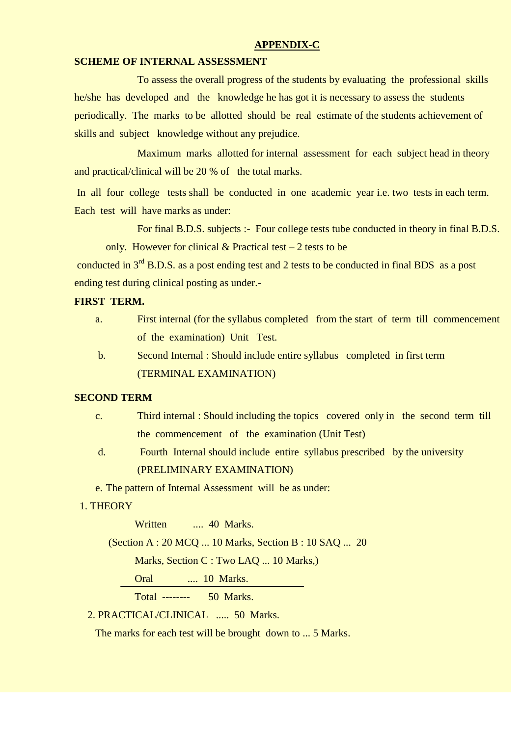## **APPENDIX-C**

#### **SCHEME OF INTERNAL ASSESSMENT**

To assess the overall progress of the students by evaluating the professional skills he/she has developed and the knowledge he has got it is necessary to assess the students periodically. The marks to be allotted should be real estimate of the students achievement of skills and subject knowledge without any prejudice.

Maximum marks allotted for internal assessment for each subject head in theory and practical/clinical will be 20 % of the total marks.

In all four college tests shall be conducted in one academic year i.e. two tests in each term. Each test will have marks as under:

For final B.D.S. subjects :- Four college tests tube conducted in theory in final B.D.S. only. However for clinical  $&$  Practical test – 2 tests to be

conducted in 3<sup>rd</sup> B.D.S. as a post ending test and 2 tests to be conducted in final BDS as a post ending test during clinical posting as under.-

## **FIRST TERM.**

- a. First internal (for the syllabus completed from the start of term till commencement of the examination) Unit Test.
- b. Second Internal : Should include entire syllabus completed in first term (TERMINAL EXAMINATION)

## **SECOND TERM**

- c. Third internal : Should including the topics covered only in the second term till the commencement of the examination (Unit Test)
- d. Fourth Internal should include entire syllabus prescribed by the university (PRELIMINARY EXAMINATION)
- e. The pattern of Internal Assessment will be as under:

## 1. THEORY

Written .... 40 Marks.

(Section A : 20 MCQ ... 10 Marks, Section B : 10 SAQ ... 20

Marks, Section C : Two LAQ ... 10 Marks,)

Oral .... 10 Marks.

Total -------- 50 Marks.

2. PRACTICAL/CLINICAL ..... 50 Marks.

The marks for each test will be brought down to ... 5 Marks.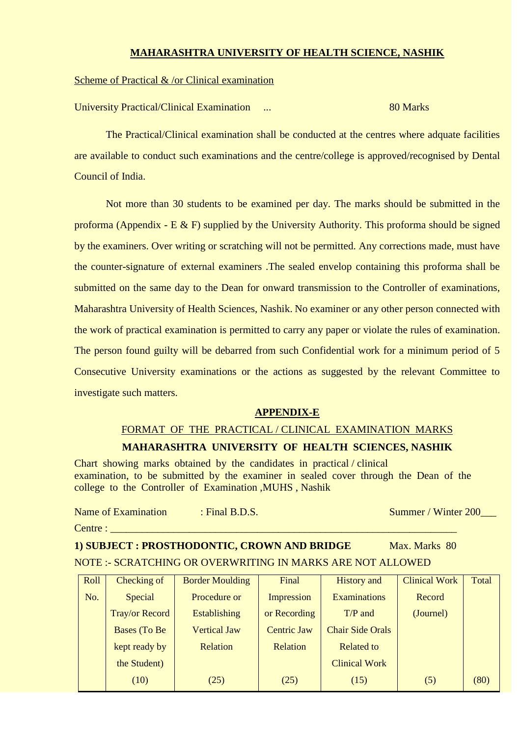## **MAHARASHTRA UNIVERSITY OF HEALTH SCIENCE, NASHIK**

## Scheme of Practical & /or Clinical examination

University Practical/Clinical Examination ... 80 Marks

The Practical/Clinical examination shall be conducted at the centres where adquate facilities are available to conduct such examinations and the centre/college is approved/recognised by Dental Council of India.

Not more than 30 students to be examined per day. The marks should be submitted in the proforma (Appendix - E & F) supplied by the University Authority. This proforma should be signed by the examiners. Over writing or scratching will not be permitted. Any corrections made, must have the counter-signature of external examiners .The sealed envelop containing this proforma shall be submitted on the same day to the Dean for onward transmission to the Controller of examinations, Maharashtra University of Health Sciences, Nashik. No examiner or any other person connected with the work of practical examination is permitted to carry any paper or violate the rules of examination. The person found guilty will be debarred from such Confidential work for a minimum period of 5 Consecutive University examinations or the actions as suggested by the relevant Committee to investigate such matters.

## **APPENDIX-E**

## FORMAT OF THE PRACTICAL / CLINICAL EXAMINATION MARKS **MAHARASHTRA UNIVERSITY OF HEALTH SCIENCES, NASHIK**

Chart showing marks obtained by the candidates in practical / clinical examination, to be submitted by the examiner in sealed cover through the Dean of the college to the Controller of Examination ,MUHS , Nashik

Name of Examination : Final B.D.S. Summer / Winter 200

Centre :

**1) SUBJECT : PROSTHODONTIC, CROWN AND BRIDGE** Max. Marks 80 NOTE :- SCRATCHING OR OVERWRITING IN MARKS ARE NOT ALLOWED

| Roll | Checking of           | <b>Border Moulding</b> | Final              | <b>History</b> and      | <b>Clinical Work</b> | Total |
|------|-----------------------|------------------------|--------------------|-------------------------|----------------------|-------|
| No.  | Special               | Procedure or           | <b>Impression</b>  | <b>Examinations</b>     | Record               |       |
|      | <b>Tray/or Record</b> | <b>Establishing</b>    | or Recording       | $T/P$ and               | (Journel)            |       |
|      | Bases (To Be          | <b>Vertical Jaw</b>    | <b>Centric Jaw</b> | <b>Chair Side Orals</b> |                      |       |
|      | kept ready by         | <b>Relation</b>        | Relation           | <b>Related to</b>       |                      |       |
|      | the Student)          |                        |                    | <b>Clinical Work</b>    |                      |       |
|      | (10)                  | (25)                   | (25)               | (15)                    | (5)                  | (80)  |
|      |                       |                        |                    |                         |                      |       |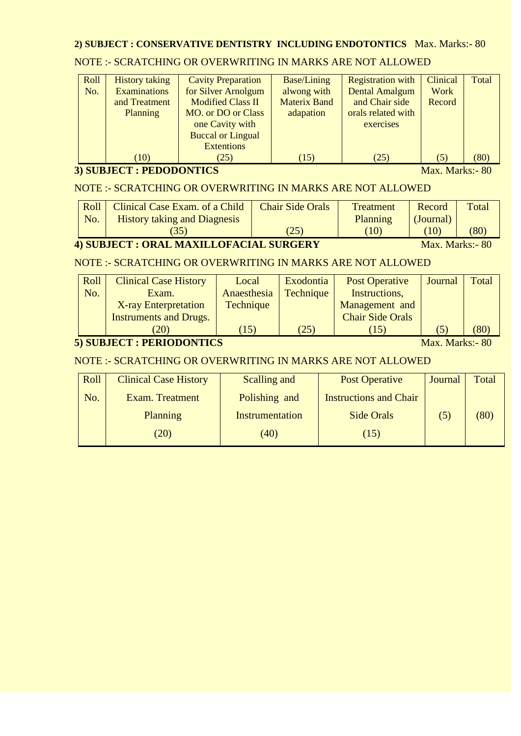## **2) SUBJECT : CONSERVATIVE DENTISTRY INCLUDING ENDOTONTICS** Max. Marks:- 80

## NOTE :- SCRATCHING OR OVERWRITING IN MARKS ARE NOT ALLOWED

| Roll | <b>History taking</b> | <b>Cavity Preparation</b> | Base/Lining         | <b>Registration with</b> | Clinical | Total |
|------|-----------------------|---------------------------|---------------------|--------------------------|----------|-------|
| No.  | <b>Examinations</b>   | for Silver Arnolgum       | alwong with         | <b>Dental Amalgum</b>    | Work     |       |
|      | and Treatment         | <b>Modified Class II</b>  | <b>Materix Band</b> | and Chair side           | Record   |       |
|      | <b>Planning</b>       | <b>MO.</b> or DO or Class | adapation           | orals related with       |          |       |
|      |                       | one Cavity with           |                     | exercises                |          |       |
|      |                       | <b>Buccal or Lingual</b>  |                     |                          |          |       |
|      |                       | <b>Extentions</b>         |                     |                          |          |       |
|      | (10)                  | (25)                      | (15)                | (25)                     | (5)      | (80)  |

## **3) SUBJECT : PEDODONTICS** Max. Marks:- 80

## NOTE :- SCRATCHING OR OVERWRITING IN MARKS ARE NOT ALLOWED

|                                                                    | Roll<br>No. | Clinical Case Exam. of a Child<br><b>History taking and Diagnesis</b> | <b>Chair Side Orals</b> | <b>Treatment</b><br>Planning | Record<br>(Journal)  | Total |
|--------------------------------------------------------------------|-------------|-----------------------------------------------------------------------|-------------------------|------------------------------|----------------------|-------|
|                                                                    |             | (35)                                                                  | (25)                    | (10)                         | $\langle 10 \rangle$ | (80)  |
| <b>4) SUBJECT : ORAL MAXILLOFACIAL SURGERY</b><br>Max. Marks: - 80 |             |                                                                       |                         |                              |                      |       |

## NOTE :- SCRATCHING OR OVERWRITING IN MARKS ARE NOT ALLOWED

| Roll | <b>Clinical Case History</b>  | Local       | Exodontia        | Post Operative          | Journal | Total |
|------|-------------------------------|-------------|------------------|-------------------------|---------|-------|
| No.  | Exam.                         | Anaesthesia | <b>Technique</b> | Instructions,           |         |       |
|      | <b>X-ray Enterpretation</b>   | Technique   |                  | Management and          |         |       |
|      | <b>Instruments and Drugs.</b> |             |                  | <b>Chair Side Orals</b> |         |       |
|      | (20)                          | (15)        | (25)             | 15)                     | C)      | (80)  |

## **5) SUBJECT : PERIODONTICS** Max. Marks:- 80

## NOTE :- SCRATCHING OR OVERWRITING IN MARKS ARE NOT ALLOWED

| Roll | <b>Clinical Case History</b> | Scalling and    | <b>Post Operative</b>         | Journal | Total |
|------|------------------------------|-----------------|-------------------------------|---------|-------|
| No.  | Exam. Treatment              | Polishing and   | <b>Instructions and Chair</b> |         |       |
|      | <b>Planning</b>              | Instrumentation | Side Orals                    | (5)     | (80)  |
|      | (20)                         | (40)            | (15)                          |         |       |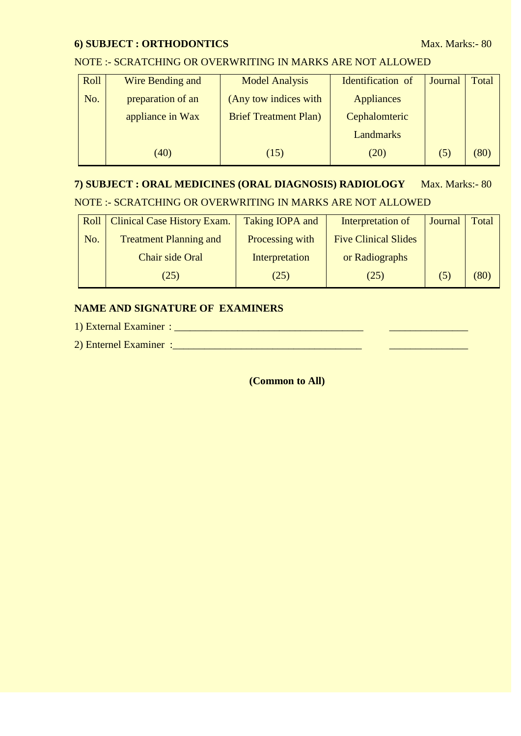## **6) SUBJECT : ORTHODONTICS** Max. Marks:- 80

#### NOTE :- SCRATCHING OR OVERWRITING IN MARKS ARE NOT ALLOWED

| Roll | Wire Bending and  | <b>Model Analysis</b>        | Identification of | Journal | Total |
|------|-------------------|------------------------------|-------------------|---------|-------|
| No.  | preparation of an | (Any tow indices with        | <b>Appliances</b> |         |       |
|      | appliance in Wax  | <b>Brief Treatment Plan)</b> | Cephalomteric     |         |       |
|      |                   |                              | <b>Landmarks</b>  |         |       |
|      | (40)              | (15)                         | (20)              | (5)     | (80)  |

# **7) SUBJECT : ORAL MEDICINES (ORAL DIAGNOSIS) RADIOLOGY** Max. Marks:- 80 NOTE :- SCRATCHING OR OVERWRITING IN MARKS ARE NOT ALLOWED

| Roll | <b>Clinical Case History Exam.</b> | Taking IOPA and | Interpretation of           | Journal      | Total |
|------|------------------------------------|-----------------|-----------------------------|--------------|-------|
| No.  | <b>Treatment Planning and</b>      | Processing with | <b>Five Clinical Slides</b> |              |       |
|      | Chair side Oral                    | Interpretation  | or Radiographs              |              |       |
|      | (25)                               | (25)            | (25)                        | $\mathsf{D}$ | (80)  |

## **NAME AND SIGNATURE OF EXAMINERS**

1) External Examiner : \_\_\_\_\_\_\_\_\_\_\_\_\_\_\_\_\_\_\_\_\_\_\_\_\_\_\_\_\_\_\_\_\_\_\_\_ \_\_\_\_\_\_\_\_\_\_\_\_\_\_\_

2) Enternel Examiner :  $\frac{1}{2}$  =  $\frac{1}{2}$  =  $\frac{1}{2}$  =  $\frac{1}{2}$  =  $\frac{1}{2}$  =  $\frac{1}{2}$  =  $\frac{1}{2}$  =  $\frac{1}{2}$  =  $\frac{1}{2}$  =  $\frac{1}{2}$  =  $\frac{1}{2}$  =  $\frac{1}{2}$  =  $\frac{1}{2}$  =  $\frac{1}{2}$  =  $\frac{1}{2}$  =  $\frac{1}{2}$  =  $\frac{1}{$ 

**(Common to All)**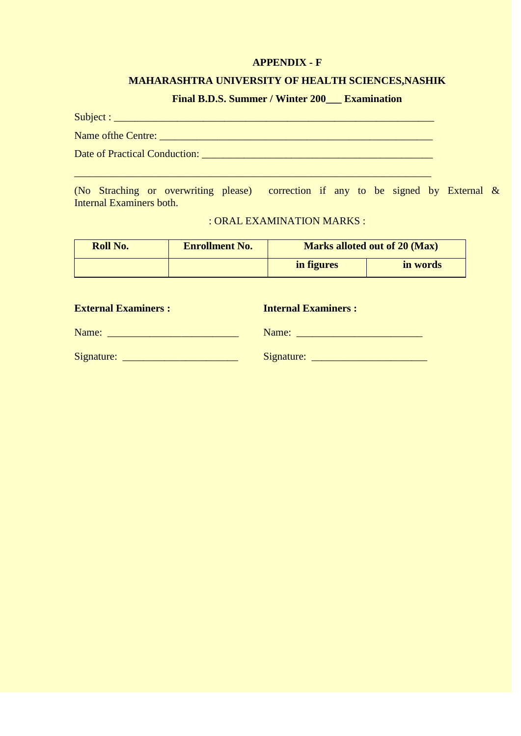## **APPENDIX - F**

## **MAHARASHTRA UNIVERSITY OF HEALTH SCIENCES,NASHIK**

# **Final B.D.S. Summer / Winter 200\_\_\_ Examination**

| Date of Practical Conduction: <b>Example 2018</b> |
|---------------------------------------------------|
|                                                   |

(No Straching or overwriting please) correction if any to be signed by External & Internal Examiners both.

| : ORAL EXAMINATION MARKS : |  |
|----------------------------|--|
|----------------------------|--|

| Roll No. | <b>Enrollment No.</b> | <b>Marks alloted out of 20 (Max)</b> |          |  |  |
|----------|-----------------------|--------------------------------------|----------|--|--|
|          |                       |                                      | in words |  |  |

| <b>External Examiners:</b>                                                                                                                                                                                                                         | <b>Internal Examiners:</b> |
|----------------------------------------------------------------------------------------------------------------------------------------------------------------------------------------------------------------------------------------------------|----------------------------|
| Name:                                                                                                                                                                                                                                              | Name:                      |
| Signature:<br><u> Andreas and American and American and American and American and American and American and American and American and American and American and American and American and American and American and American and American and </u> | Signature:                 |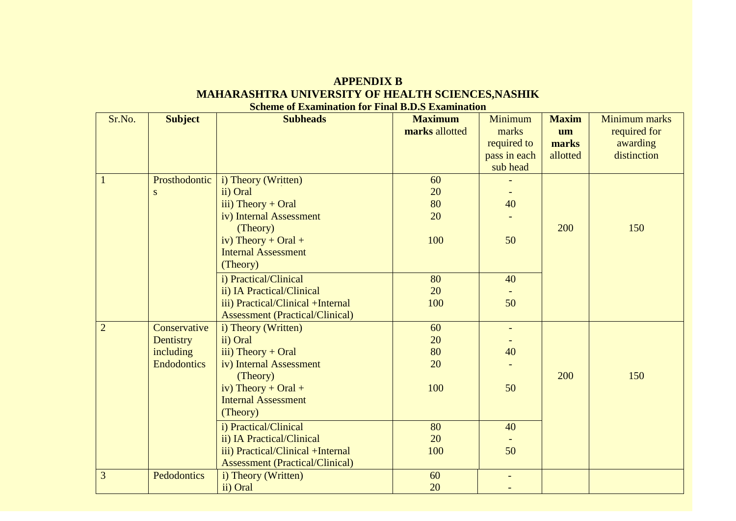| <b>APPENDIX B</b>                                        |
|----------------------------------------------------------|
| <b>MAHARASHTRA UNIVERSITY OF HEALTH SCIENCES, NASHIK</b> |
| <b>Scheme of Examination for Final B.D.S Examination</b> |

| Sr.No.         | <b>Subject</b>     | <b>Subheads</b>                        | <b>Maximum</b> | Minimum        | <b>Maxim</b> | Minimum marks |
|----------------|--------------------|----------------------------------------|----------------|----------------|--------------|---------------|
|                |                    |                                        | marks allotted | marks          | um           | required for  |
|                |                    |                                        |                | required to    | marks        | awarding      |
|                |                    |                                        |                | pass in each   | allotted     | distinction   |
|                |                    |                                        |                | sub head       |              |               |
|                | Prosthodontic      | i) Theory (Written)                    | 60             |                |              |               |
|                | ${\bf S}$          | ii) Oral                               | 20             |                |              |               |
|                |                    | iii) Theory + Oral                     | 80             | 40             |              |               |
|                |                    | iv) Internal Assessment                | 20             |                |              |               |
|                |                    | (Theory)                               |                |                | 200          | 150           |
|                |                    | iv) Theory + Oral +                    | 100            | 50             |              |               |
|                |                    | <b>Internal Assessment</b>             |                |                |              |               |
|                |                    | (Theory)                               |                |                |              |               |
|                |                    | i) Practical/Clinical                  | 80             | 40             |              |               |
|                |                    | ii) IA Practical/Clinical              | 20             |                |              |               |
|                |                    | iii) Practical/Clinical +Internal      | 100            | 50             |              |               |
|                |                    | <b>Assessment (Practical/Clinical)</b> |                |                |              |               |
| $\overline{2}$ | Conservative       | i) Theory (Written)                    | 60             | $\blacksquare$ |              |               |
|                | Dentistry          | ii) Oral                               | 20             |                |              |               |
|                | including          | iii) Theory + Oral                     | 80             | 40             |              |               |
|                | <b>Endodontics</b> | iv) Internal Assessment                | 20             |                |              |               |
|                |                    | (Theory)                               |                |                | 200          | 150           |
|                |                    | iv) Theory + Oral +                    | 100            | 50             |              |               |
|                |                    | <b>Internal Assessment</b>             |                |                |              |               |
|                |                    | (Theory)                               |                |                |              |               |
|                |                    | i) Practical/Clinical                  | 80             | 40             |              |               |
|                |                    | ii) IA Practical/Clinical              | 20             |                |              |               |
|                |                    | iii) Practical/Clinical +Internal      | 100            | 50             |              |               |
|                |                    | <b>Assessment (Practical/Clinical)</b> |                |                |              |               |
| 3              | Pedodontics        | i) Theory (Written)                    | 60             |                |              |               |
|                |                    | ii) Oral                               | 20             |                |              |               |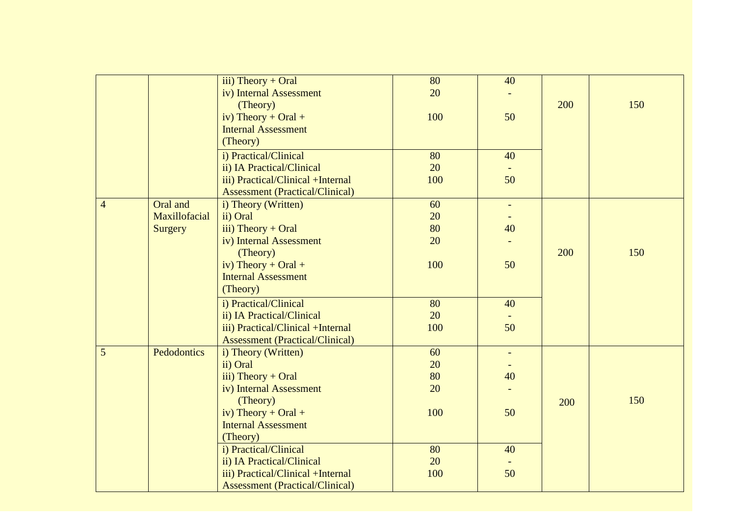|                |                | $iii)$ Theory + Oral                   | 80  | 40             |     |     |
|----------------|----------------|----------------------------------------|-----|----------------|-----|-----|
|                |                | iv) Internal Assessment                | 20  |                |     |     |
|                |                | (Theory)                               |     |                | 200 | 150 |
|                |                | iv) Theory + Oral +                    | 100 | 50             |     |     |
|                |                | <b>Internal Assessment</b>             |     |                |     |     |
|                |                | (Theory)                               |     |                |     |     |
|                |                | i) Practical/Clinical                  | 80  | 40             |     |     |
|                |                | ii) IA Practical/Clinical              | 20  |                |     |     |
|                |                | iii) Practical/Clinical +Internal      | 100 | 50             |     |     |
|                |                | <b>Assessment (Practical/Clinical)</b> |     |                |     |     |
| $\overline{4}$ | Oral and       | i) Theory (Written)                    | 60  | $\blacksquare$ |     |     |
|                | Maxillofacial  | ii) Oral                               | 20  |                |     |     |
|                | <b>Surgery</b> | iii) Theory + Oral                     | 80  | 40             |     |     |
|                |                | iv) Internal Assessment                | 20  |                |     |     |
|                |                | (Theory)                               |     |                | 200 | 150 |
|                |                | iv) Theory + Oral +                    | 100 | 50             |     |     |
|                |                | <b>Internal Assessment</b>             |     |                |     |     |
|                |                | (Theory)                               |     |                |     |     |
|                |                | i) Practical/Clinical                  | 80  | 40             |     |     |
|                |                | ii) IA Practical/Clinical              | 20  |                |     |     |
|                |                | iii) Practical/Clinical +Internal      | 100 | 50             |     |     |
|                |                | <b>Assessment (Practical/Clinical)</b> |     |                |     |     |
| 5              | Pedodontics    | i) Theory (Written)                    | 60  | $\blacksquare$ |     |     |
|                |                | ii) Oral                               | 20  |                |     |     |
|                |                | iii) Theory + Oral                     | 80  | 40             |     |     |
|                |                | iv) Internal Assessment                | 20  |                |     |     |
|                |                | (Theory)                               |     |                | 200 | 150 |
|                |                | iv) Theory + Oral +                    | 100 | 50             |     |     |
|                |                | <b>Internal Assessment</b>             |     |                |     |     |
|                |                | (Theory)                               |     |                |     |     |
|                |                | i) Practical/Clinical                  | 80  | 40             |     |     |
|                |                | ii) IA Practical/Clinical              | 20  |                |     |     |
|                |                | iii) Practical/Clinical +Internal      | 100 | 50             |     |     |
|                |                | <b>Assessment (Practical/Clinical)</b> |     |                |     |     |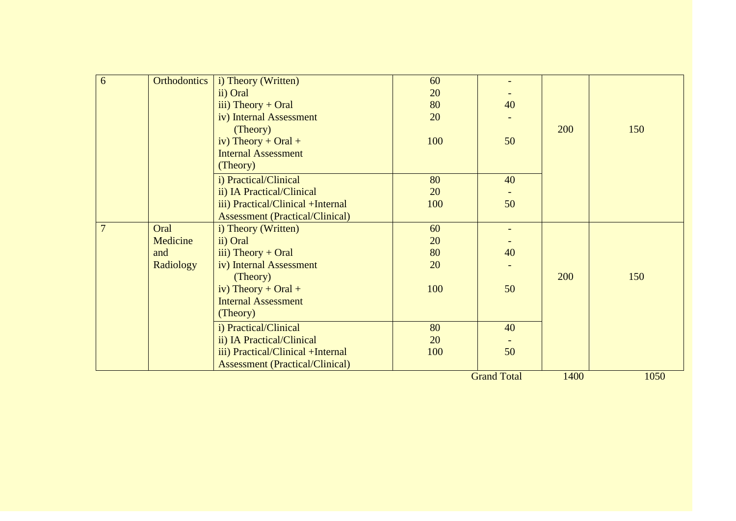| 6              | <b>Orthodontics</b> | i) Theory (Written)                    | 60  |                    |      |      |
|----------------|---------------------|----------------------------------------|-----|--------------------|------|------|
|                |                     | ii) Oral                               | 20  |                    |      |      |
|                |                     | iii) Theory + Oral                     | 80  | 40                 |      |      |
|                |                     | iv) Internal Assessment                | 20  |                    |      |      |
|                |                     | (Theory)                               |     |                    | 200  | 150  |
|                |                     | iv) Theory + Oral +                    | 100 | 50                 |      |      |
|                |                     | <b>Internal Assessment</b>             |     |                    |      |      |
|                |                     | (Theory)                               |     |                    |      |      |
|                |                     | i) Practical/Clinical                  | 80  | 40                 |      |      |
|                |                     | ii) IA Practical/Clinical              | 20  |                    |      |      |
|                |                     | iii) Practical/Clinical +Internal      | 100 | 50                 |      |      |
|                |                     | <b>Assessment (Practical/Clinical)</b> |     |                    |      |      |
| $\overline{7}$ | Oral                | i) Theory (Written)                    | 60  |                    |      |      |
|                | Medicine            | ii) Oral                               | 20  |                    |      |      |
|                | and                 | iii) Theory + Oral                     | 80  | 40                 |      |      |
|                | Radiology           | iv) Internal Assessment                | 20  |                    |      |      |
|                |                     | (Theory)                               |     |                    | 200  | 150  |
|                |                     | iv) Theory + Oral +                    | 100 | 50                 |      |      |
|                |                     | <b>Internal Assessment</b>             |     |                    |      |      |
|                |                     | (Theory)                               |     |                    |      |      |
|                |                     | i) Practical/Clinical                  | 80  | 40                 |      |      |
|                |                     | ii) IA Practical/Clinical              | 20  |                    |      |      |
|                |                     | iii) Practical/Clinical +Internal      | 100 | 50                 |      |      |
|                |                     | <b>Assessment (Practical/Clinical)</b> |     |                    |      |      |
|                |                     |                                        |     | <b>Grand Total</b> | 1400 | 1050 |